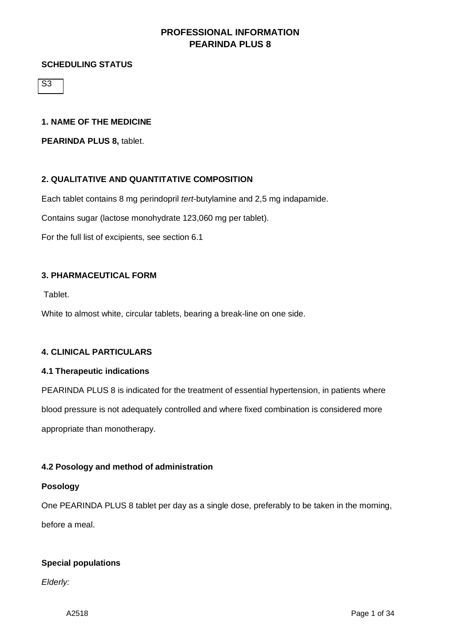### **SCHEDULING STATUS**

 $\overline{\mathsf{S3}}$ 

### **1. NAME OF THE MEDICINE**

**PEARINDA PLUS 8,** tablet.

### **2. QUALITATIVE AND QUANTITATIVE COMPOSITION**

Each tablet contains 8 mg perindopril *tert*-butylamine and 2,5 mg indapamide.

Contains sugar (lactose monohydrate 123,060 mg per tablet).

For the full list of excipients, see section 6.1

#### **3. PHARMACEUTICAL FORM**

Tablet.

White to almost white, circular tablets, bearing a break-line on one side.

#### **4. CLINICAL PARTICULARS**

#### **4.1 Therapeutic indications**

PEARINDA PLUS 8 is indicated for the treatment of essential hypertension, in patients where blood pressure is not adequately controlled and where fixed combination is considered more appropriate than monotherapy.

### **4.2 Posology and method of administration**

#### **Posology**

One PEARINDA PLUS 8 tablet per day as a single dose, preferably to be taken in the morning, before a meal.

### **Special populations**

*Elderly:*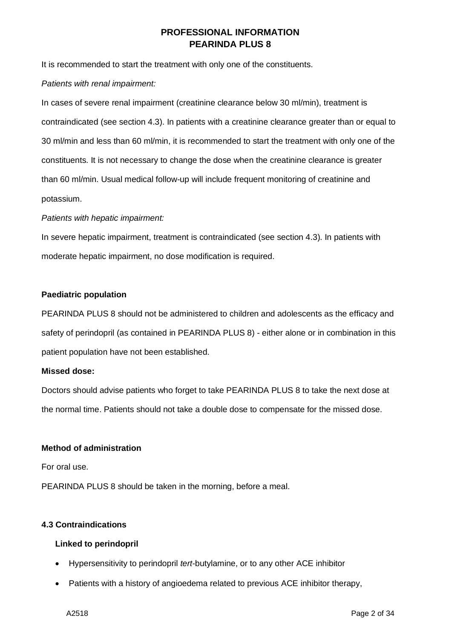It is recommended to start the treatment with only one of the constituents.

#### *Patients with renal impairment:*

In cases of severe renal impairment (creatinine clearance below 30 ml/min), treatment is contraindicated (see section 4.3). In patients with a creatinine clearance greater than or equal to 30 ml/min and less than 60 ml/min, it is recommended to start the treatment with only one of the constituents. It is not necessary to change the dose when the creatinine clearance is greater than 60 ml/min. Usual medical follow-up will include frequent monitoring of creatinine and potassium.

#### *Patients with hepatic impairment:*

In severe hepatic impairment, treatment is contraindicated (see section 4.3). In patients with moderate hepatic impairment, no dose modification is required.

### **Paediatric population**

PEARINDA PLUS 8 should not be administered to children and adolescents as the efficacy and safety of perindopril (as contained in PEARINDA PLUS 8) - either alone or in combination in this patient population have not been established.

#### **Missed dose:**

Doctors should advise patients who forget to take PEARINDA PLUS 8 to take the next dose at the normal time. Patients should not take a double dose to compensate for the missed dose.

### **Method of administration**

For oral use.

PEARINDA PLUS 8 should be taken in the morning, before a meal.

### **4.3 Contraindications**

### **Linked to perindopril**

- Hypersensitivity to perindopril *tert*-butylamine, or to any other ACE inhibitor
- Patients with a history of angioedema related to previous ACE inhibitor therapy,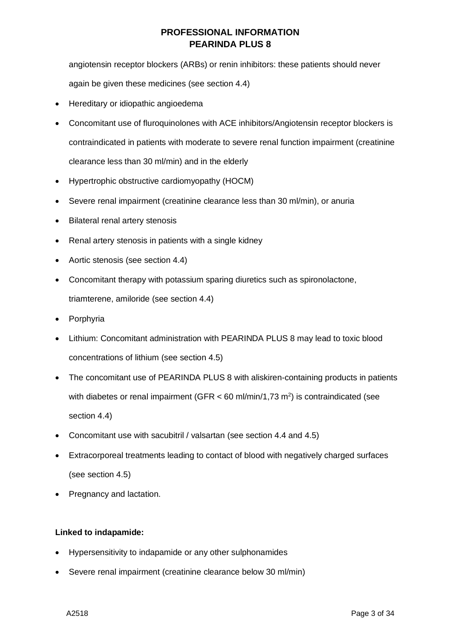angiotensin receptor blockers (ARBs) or renin inhibitors: these patients should never again be given these medicines (see section 4.4)

- Hereditary or idiopathic angioedema
- Concomitant use of fluroquinolones with ACE inhibitors/Angiotensin receptor blockers is contraindicated in patients with moderate to severe renal function impairment (creatinine clearance less than 30 ml/min) and in the elderly
- Hypertrophic obstructive cardiomyopathy (HOCM)
- Severe renal impairment (creatinine clearance less than 30 ml/min), or anuria
- Bilateral renal artery stenosis
- Renal artery stenosis in patients with a single kidney
- Aortic stenosis (see section 4.4)
- Concomitant therapy with potassium sparing diuretics such as spironolactone, triamterene, amiloride (see section 4.4)
- Porphyria
- Lithium: Concomitant administration with PEARINDA PLUS 8 may lead to toxic blood concentrations of lithium (see section 4.5)
- The concomitant use of PEARINDA PLUS 8 with aliskiren-containing products in patients with diabetes or renal impairment (GFR < 60 ml/min/1,73 m<sup>2</sup>) is contraindicated (see section 4.4)
- Concomitant use with sacubitril / valsartan (see section 4.4 and 4.5)
- Extracorporeal treatments leading to contact of blood with negatively charged surfaces (see section 4.5)
- Pregnancy and lactation.

# **Linked to indapamide:**

- Hypersensitivity to indapamide or any other sulphonamides
- Severe renal impairment (creatinine clearance below 30 ml/min)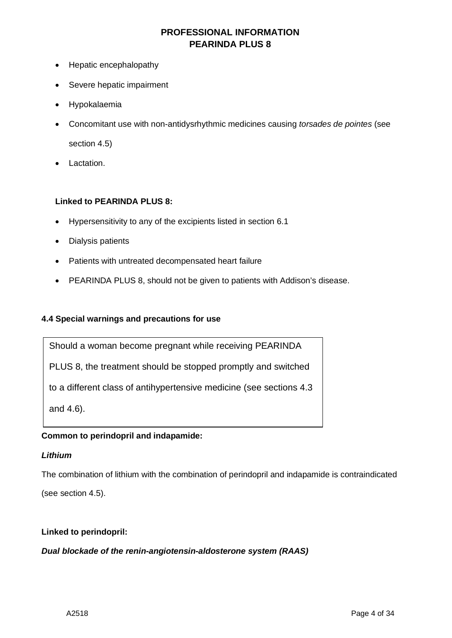- Hepatic encephalopathy
- Severe hepatic impairment
- Hypokalaemia
- Concomitant use with non-antidysrhythmic medicines causing *torsades de pointes* (see section 4.5)
- Lactation.

### **Linked to PEARINDA PLUS 8:**

- Hypersensitivity to any of the excipients listed in section 6.1
- Dialysis patients
- Patients with untreated decompensated heart failure
- PEARINDA PLUS 8, should not be given to patients with Addison's disease.

### **4.4 Special warnings and precautions for use**

Should a woman become pregnant while receiving PEARINDA

PLUS 8, the treatment should be stopped promptly and switched

to a different class of antihypertensive medicine (see sections 4.3

and 4.6).

# **Common to perindopril and indapamide:**

### *Lithium*

The combination of lithium with the combination of perindopril and indapamide is contraindicated

(see section 4.5).

### **Linked to perindopril:**

*Dual blockade of the renin-angiotensin-aldosterone system (RAAS)*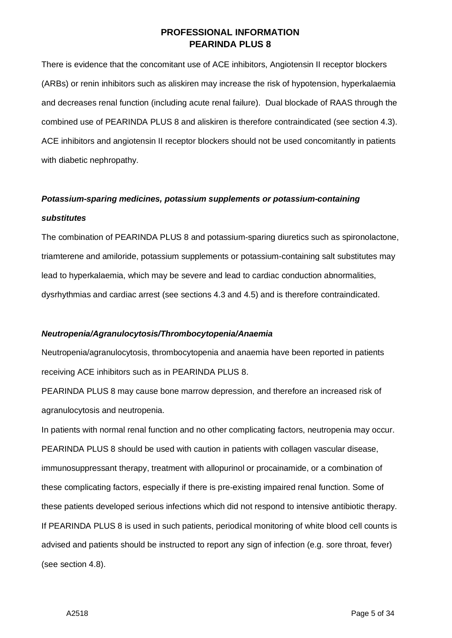There is evidence that the concomitant use of ACE inhibitors, Angiotensin II receptor blockers (ARBs) or renin inhibitors such as aliskiren may increase the risk of hypotension, hyperkalaemia and decreases renal function (including acute renal failure). Dual blockade of RAAS through the combined use of PEARINDA PLUS 8 and aliskiren is therefore contraindicated (see section 4.3). ACE inhibitors and angiotensin II receptor blockers should not be used concomitantly in patients with diabetic nephropathy.

# *Potassium-sparing medicines, potassium supplements or potassium-containing substitutes*

The combination of PEARINDA PLUS 8 and potassium-sparing diuretics such as spironolactone, triamterene and amiloride, potassium supplements or potassium-containing salt substitutes may lead to hyperkalaemia, which may be severe and lead to cardiac conduction abnormalities, dysrhythmias and cardiac arrest (see sections 4.3 and 4.5) and is therefore contraindicated.

### *Neutropenia/Agranulocytosis/Thrombocytopenia/Anaemia*

Neutropenia/agranulocytosis, thrombocytopenia and anaemia have been reported in patients receiving ACE inhibitors such as in PEARINDA PLUS 8.

PEARINDA PLUS 8 may cause bone marrow depression, and therefore an increased risk of agranulocytosis and neutropenia.

In patients with normal renal function and no other complicating factors, neutropenia may occur. PEARINDA PLUS 8 should be used with caution in patients with collagen vascular disease, immunosuppressant therapy, treatment with allopurinol or procainamide, or a combination of these complicating factors, especially if there is pre-existing impaired renal function. Some of these patients developed serious infections which did not respond to intensive antibiotic therapy. If PEARINDA PLUS 8 is used in such patients, periodical monitoring of white blood cell counts is advised and patients should be instructed to report any sign of infection (e.g. sore throat, fever) (see section 4.8).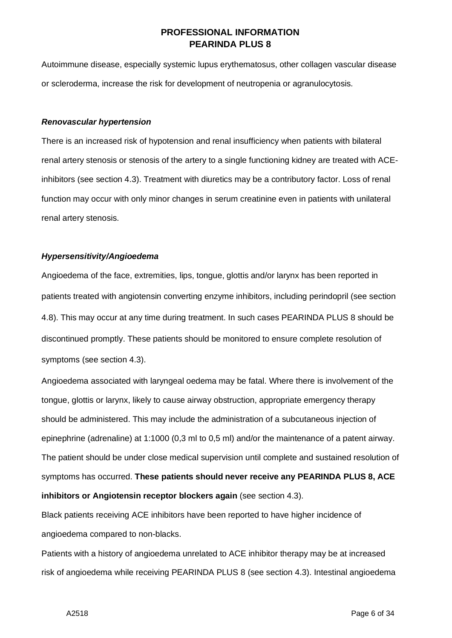Autoimmune disease, especially systemic lupus erythematosus, other collagen vascular disease or scleroderma, increase the risk for development of neutropenia or agranulocytosis.

#### *Renovascular hypertension*

There is an increased risk of hypotension and renal insufficiency when patients with bilateral renal artery stenosis or stenosis of the artery to a single functioning kidney are treated with ACEinhibitors (see section 4.3). Treatment with diuretics may be a contributory factor. Loss of renal function may occur with only minor changes in serum creatinine even in patients with unilateral renal artery stenosis.

#### *Hypersensitivity/Angioedema*

Angioedema of the face, extremities, lips, tongue, glottis and/or larynx has been reported in patients treated with angiotensin converting enzyme inhibitors, including perindopril (see section 4.8). This may occur at any time during treatment. In such cases PEARINDA PLUS 8 should be discontinued promptly. These patients should be monitored to ensure complete resolution of symptoms (see section 4.3).

Angioedema associated with laryngeal oedema may be fatal. Where there is involvement of the tongue, glottis or larynx, likely to cause airway obstruction, appropriate emergency therapy should be administered. This may include the administration of a subcutaneous injection of epinephrine (adrenaline) at 1:1000 (0,3 ml to 0,5 ml) and/or the maintenance of a patent airway. The patient should be under close medical supervision until complete and sustained resolution of symptoms has occurred. **These patients should never receive any PEARINDA PLUS 8, ACE inhibitors or Angiotensin receptor blockers again** (see section 4.3).

Black patients receiving ACE inhibitors have been reported to have higher incidence of angioedema compared to non-blacks.

Patients with a history of angioedema unrelated to ACE inhibitor therapy may be at increased risk of angioedema while receiving PEARINDA PLUS 8 (see section 4.3). Intestinal angioedema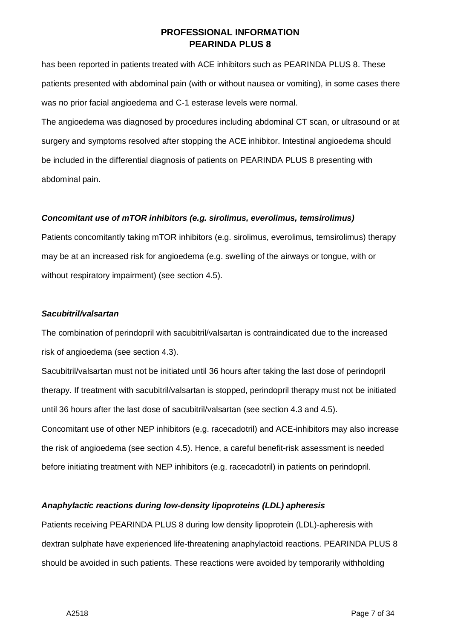has been reported in patients treated with ACE inhibitors such as PEARINDA PLUS 8. These patients presented with abdominal pain (with or without nausea or vomiting), in some cases there was no prior facial angioedema and C-1 esterase levels were normal.

The angioedema was diagnosed by procedures including abdominal CT scan, or ultrasound or at surgery and symptoms resolved after stopping the ACE inhibitor. Intestinal angioedema should be included in the differential diagnosis of patients on PEARINDA PLUS 8 presenting with abdominal pain.

### *Concomitant use of mTOR inhibitors (e.g. sirolimus, everolimus, temsirolimus)*

Patients concomitantly taking mTOR inhibitors (e.g. sirolimus, everolimus, temsirolimus) therapy may be at an increased risk for angioedema (e.g. swelling of the airways or tongue, with or without respiratory impairment) (see section 4.5).

#### *Sacubitril/valsartan*

The combination of perindopril with sacubitril/valsartan is contraindicated due to the increased risk of angioedema (see section 4.3).

Sacubitril/valsartan must not be initiated until 36 hours after taking the last dose of perindopril therapy. If treatment with sacubitril/valsartan is stopped, perindopril therapy must not be initiated until 36 hours after the last dose of sacubitril/valsartan (see section 4.3 and 4.5). Concomitant use of other NEP inhibitors (e.g. racecadotril) and ACE-inhibitors may also increase the risk of angioedema (see section 4.5). Hence, a careful benefit-risk assessment is needed before initiating treatment with NEP inhibitors (e.g. racecadotril) in patients on perindopril.

### *Anaphylactic reactions during low-density lipoproteins (LDL) apheresis*

Patients receiving PEARINDA PLUS 8 during low density lipoprotein (LDL)-apheresis with dextran sulphate have experienced life-threatening anaphylactoid reactions. PEARINDA PLUS 8 should be avoided in such patients. These reactions were avoided by temporarily withholding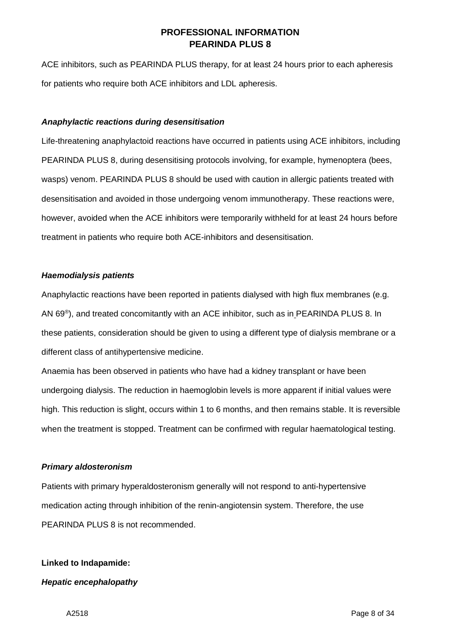ACE inhibitors, such as PEARINDA PLUS therapy, for at least 24 hours prior to each apheresis for patients who require both ACE inhibitors and LDL apheresis.

### *Anaphylactic reactions during desensitisation*

Life-threatening anaphylactoid reactions have occurred in patients using ACE inhibitors, including PEARINDA PLUS 8, during desensitising protocols involving, for example, hymenoptera (bees, wasps) venom. PEARINDA PLUS 8 should be used with caution in allergic patients treated with desensitisation and avoided in those undergoing venom immunotherapy. These reactions were, however, avoided when the ACE inhibitors were temporarily withheld for at least 24 hours before treatment in patients who require both ACE-inhibitors and desensitisation.

#### *Haemodialysis patients*

Anaphylactic reactions have been reported in patients dialysed with high flux membranes (e.g. AN 69®), and treated concomitantly with an ACE inhibitor, such as in PEARINDA PLUS 8. In these patients, consideration should be given to using a different type of dialysis membrane or a different class of antihypertensive medicine.

Anaemia has been observed in patients who have had a kidney transplant or have been undergoing dialysis. The reduction in haemoglobin levels is more apparent if initial values were high. This reduction is slight, occurs within 1 to 6 months, and then remains stable. It is reversible when the treatment is stopped. Treatment can be confirmed with regular haematological testing.

### *Primary aldosteronism*

Patients with primary hyperaldosteronism generally will not respond to anti-hypertensive medication acting through inhibition of the renin-angiotensin system. Therefore, the use PEARINDA PLUS 8 is not recommended.

### **Linked to Indapamide:**

#### *Hepatic encephalopathy*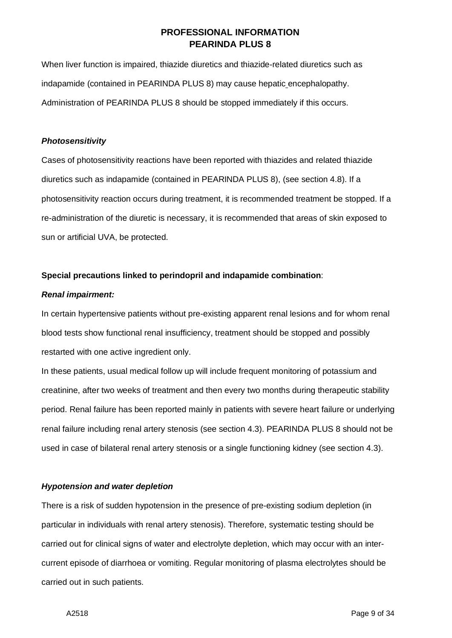When liver function is impaired, thiazide diuretics and thiazide-related diuretics such as indapamide (contained in PEARINDA PLUS 8) may cause hepatic encephalopathy. Administration of PEARINDA PLUS 8 should be stopped immediately if this occurs.

### *Photosensitivity*

Cases of photosensitivity reactions have been reported with thiazides and related thiazide diuretics such as indapamide (contained in PEARINDA PLUS 8), (see section 4.8). If a photosensitivity reaction occurs during treatment, it is recommended treatment be stopped. If a re-administration of the diuretic is necessary, it is recommended that areas of skin exposed to sun or artificial UVA, be protected.

#### **Special precautions linked to perindopril and indapamide combination**:

### *Renal impairment:*

In certain hypertensive patients without pre-existing apparent renal lesions and for whom renal blood tests show functional renal insufficiency, treatment should be stopped and possibly restarted with one active ingredient only.

In these patients, usual medical follow up will include frequent monitoring of potassium and creatinine, after two weeks of treatment and then every two months during therapeutic stability period. Renal failure has been reported mainly in patients with severe heart failure or underlying renal failure including renal artery stenosis (see section 4.3). PEARINDA PLUS 8 should not be used in case of bilateral renal artery stenosis or a single functioning kidney (see section 4.3).

### *Hypotension and water depletion*

There is a risk of sudden hypotension in the presence of pre-existing sodium depletion (in particular in individuals with renal artery stenosis). Therefore, systematic testing should be carried out for clinical signs of water and electrolyte depletion, which may occur with an intercurrent episode of diarrhoea or vomiting. Regular monitoring of plasma electrolytes should be carried out in such patients.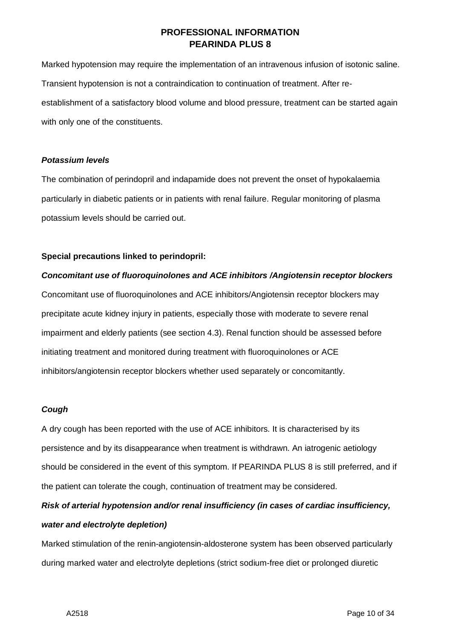Marked hypotension may require the implementation of an intravenous infusion of isotonic saline. Transient hypotension is not a contraindication to continuation of treatment. After reestablishment of a satisfactory blood volume and blood pressure, treatment can be started again with only one of the constituents.

### *Potassium levels*

The combination of perindopril and indapamide does not prevent the onset of hypokalaemia particularly in diabetic patients or in patients with renal failure. Regular monitoring of plasma potassium levels should be carried out.

# **Special precautions linked to perindopril:**

# *Concomitant use of fluoroquinolones and ACE inhibitors /Angiotensin receptor blockers*

Concomitant use of fluoroquinolones and ACE inhibitors/Angiotensin receptor blockers may precipitate acute kidney injury in patients, especially those with moderate to severe renal impairment and elderly patients (see section 4.3). Renal function should be assessed before initiating treatment and monitored during treatment with fluoroquinolones or ACE inhibitors/angiotensin receptor blockers whether used separately or concomitantly.

# *Cough*

A dry cough has been reported with the use of ACE inhibitors. It is characterised by its persistence and by its disappearance when treatment is withdrawn. An iatrogenic aetiology should be considered in the event of this symptom. If PEARINDA PLUS 8 is still preferred, and if the patient can tolerate the cough, continuation of treatment may be considered.

# *Risk of arterial hypotension and/or renal insufficiency (in cases of cardiac insufficiency, water and electrolyte depletion)*

Marked stimulation of the renin-angiotensin-aldosterone system has been observed particularly during marked water and electrolyte depletions (strict sodium-free diet or prolonged diuretic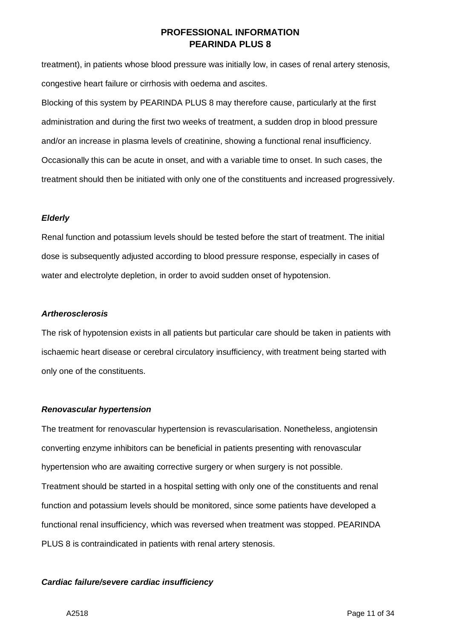treatment), in patients whose blood pressure was initially low, in cases of renal artery stenosis, congestive heart failure or cirrhosis with oedema and ascites.

Blocking of this system by PEARINDA PLUS 8 may therefore cause, particularly at the first administration and during the first two weeks of treatment, a sudden drop in blood pressure and/or an increase in plasma levels of creatinine, showing a functional renal insufficiency. Occasionally this can be acute in onset, and with a variable time to onset. In such cases, the treatment should then be initiated with only one of the constituents and increased progressively.

#### *Elderly*

Renal function and potassium levels should be tested before the start of treatment. The initial dose is subsequently adjusted according to blood pressure response, especially in cases of water and electrolyte depletion, in order to avoid sudden onset of hypotension.

#### *Artherosclerosis*

The risk of hypotension exists in all patients but particular care should be taken in patients with ischaemic heart disease or cerebral circulatory insufficiency, with treatment being started with only one of the constituents.

### *Renovascular hypertension*

The treatment for renovascular hypertension is revascularisation. Nonetheless, angiotensin converting enzyme inhibitors can be beneficial in patients presenting with renovascular hypertension who are awaiting corrective surgery or when surgery is not possible. Treatment should be started in a hospital setting with only one of the constituents and renal function and potassium levels should be monitored, since some patients have developed a functional renal insufficiency, which was reversed when treatment was stopped. PEARINDA PLUS 8 is contraindicated in patients with renal artery stenosis.

### *Cardiac failure/severe cardiac insufficiency*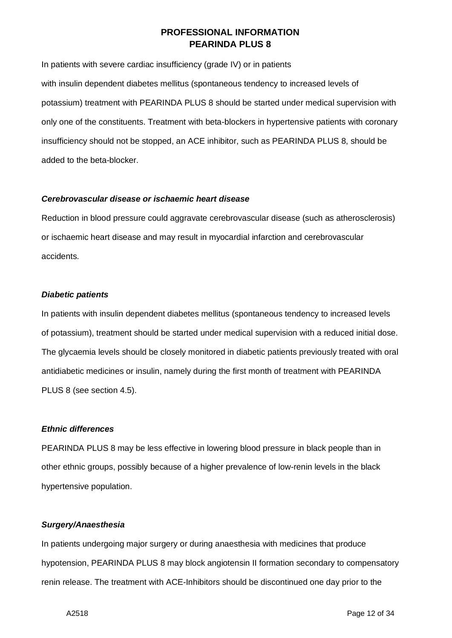In patients with severe cardiac insufficiency (grade IV) or in patients with insulin dependent diabetes mellitus (spontaneous tendency to increased levels of potassium) treatment with PEARINDA PLUS 8 should be started under medical supervision with only one of the constituents. Treatment with beta-blockers in hypertensive patients with coronary insufficiency should not be stopped, an ACE inhibitor, such as PEARINDA PLUS 8, should be added to the beta-blocker.

### *Cerebrovascular disease or ischaemic heart disease*

Reduction in blood pressure could aggravate cerebrovascular disease (such as atherosclerosis) or ischaemic heart disease and may result in myocardial infarction and cerebrovascular accidents.

#### *Diabetic patients*

In patients with insulin dependent diabetes mellitus (spontaneous tendency to increased levels of potassium), treatment should be started under medical supervision with a reduced initial dose. The glycaemia levels should be closely monitored in diabetic patients previously treated with oral antidiabetic medicines or insulin, namely during the first month of treatment with PEARINDA PLUS 8 (see section 4.5).

### *Ethnic differences*

PEARINDA PLUS 8 may be less effective in lowering blood pressure in black people than in other ethnic groups, possibly because of a higher prevalence of low-renin levels in the black hypertensive population.

### *Surgery/Anaesthesia*

In patients undergoing major surgery or during anaesthesia with medicines that produce hypotension, PEARINDA PLUS 8 may block angiotensin II formation secondary to compensatory renin release. The treatment with ACE-Inhibitors should be discontinued one day prior to the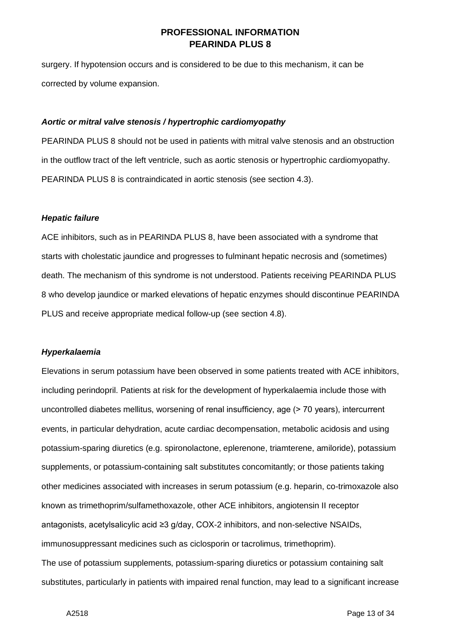surgery. If hypotension occurs and is considered to be due to this mechanism, it can be corrected by volume expansion.

#### *Aortic or mitral valve stenosis / hypertrophic cardiomyopathy*

PEARINDA PLUS 8 should not be used in patients with mitral valve stenosis and an obstruction in the outflow tract of the left ventricle, such as aortic stenosis or hypertrophic cardiomyopathy. PEARINDA PLUS 8 is contraindicated in aortic stenosis (see section 4.3).

#### *Hepatic failure*

ACE inhibitors, such as in PEARINDA PLUS 8, have been associated with a syndrome that starts with cholestatic jaundice and progresses to fulminant hepatic necrosis and (sometimes) death. The mechanism of this syndrome is not understood. Patients receiving PEARINDA PLUS 8 who develop jaundice or marked elevations of hepatic enzymes should discontinue PEARINDA PLUS and receive appropriate medical follow-up (see section 4.8).

#### *Hyperkalaemia*

Elevations in serum potassium have been observed in some patients treated with ACE inhibitors, including perindopril. Patients at risk for the development of hyperkalaemia include those with uncontrolled diabetes mellitus, worsening of renal insufficiency, age (> 70 years), intercurrent events, in particular dehydration, acute cardiac decompensation, metabolic acidosis and using potassium-sparing diuretics (e.g. spironolactone, eplerenone, triamterene, amiloride), potassium supplements, or potassium-containing salt substitutes concomitantly; or those patients taking other medicines associated with increases in serum potassium (e.g. heparin, co-trimoxazole also known as trimethoprim/sulfamethoxazole, other ACE inhibitors, angiotensin II receptor antagonists, acetylsalicylic acid ≥3 g/day, COX-2 inhibitors, and non-selective NSAIDs, immunosuppressant medicines such as ciclosporin or tacrolimus, trimethoprim). The use of potassium supplements, potassium-sparing diuretics or potassium containing salt substitutes, particularly in patients with impaired renal function, may lead to a significant increase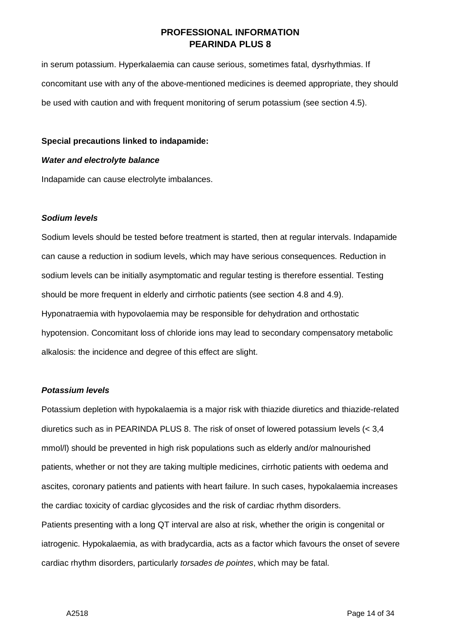in serum potassium. Hyperkalaemia can cause serious, sometimes fatal, dysrhythmias. If concomitant use with any of the above-mentioned medicines is deemed appropriate, they should be used with caution and with frequent monitoring of serum potassium (see section 4.5).

### **Special precautions linked to indapamide:**

#### *Water and electrolyte balance*

Indapamide can cause electrolyte imbalances.

#### *Sodium levels*

Sodium levels should be tested before treatment is started, then at regular intervals. Indapamide can cause a reduction in sodium levels, which may have serious consequences. Reduction in sodium levels can be initially asymptomatic and regular testing is therefore essential. Testing should be more frequent in elderly and cirrhotic patients (see section 4.8 and 4.9). Hyponatraemia with hypovolaemia may be responsible for dehydration and orthostatic hypotension. Concomitant loss of chloride ions may lead to secondary compensatory metabolic alkalosis: the incidence and degree of this effect are slight.

#### *Potassium levels*

Potassium depletion with hypokalaemia is a major risk with thiazide diuretics and thiazide-related diuretics such as in PEARINDA PLUS 8. The risk of onset of lowered potassium levels (< 3,4 mmol/l) should be prevented in high risk populations such as elderly and/or malnourished patients, whether or not they are taking multiple medicines, cirrhotic patients with oedema and ascites, coronary patients and patients with heart failure. In such cases, hypokalaemia increases the cardiac toxicity of cardiac glycosides and the risk of cardiac rhythm disorders. Patients presenting with a long QT interval are also at risk, whether the origin is congenital or iatrogenic. Hypokalaemia, as with bradycardia, acts as a factor which favours the onset of severe cardiac rhythm disorders, particularly *torsades de pointes*, which may be fatal.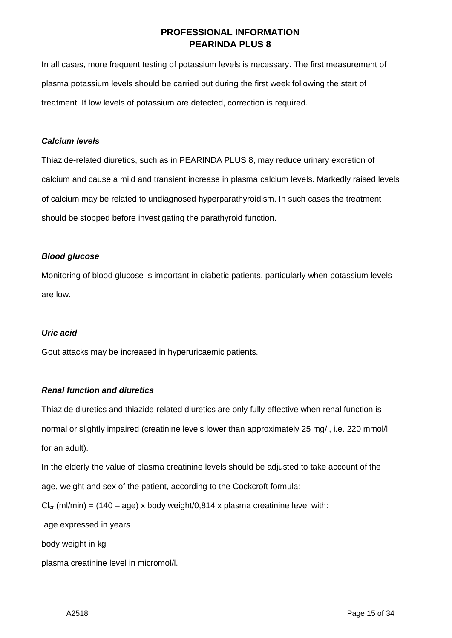In all cases, more frequent testing of potassium levels is necessary. The first measurement of plasma potassium levels should be carried out during the first week following the start of treatment. If low levels of potassium are detected, correction is required.

### *Calcium levels*

Thiazide-related diuretics, such as in PEARINDA PLUS 8, may reduce urinary excretion of calcium and cause a mild and transient increase in plasma calcium levels. Markedly raised levels of calcium may be related to undiagnosed hyperparathyroidism. In such cases the treatment should be stopped before investigating the parathyroid function.

### *Blood glucose*

Monitoring of blood glucose is important in diabetic patients, particularly when potassium levels are low.

### *Uric acid*

Gout attacks may be increased in hyperuricaemic patients.

# *Renal function and diuretics*

Thiazide diuretics and thiazide-related diuretics are only fully effective when renal function is normal or slightly impaired (creatinine levels lower than approximately 25 mg/l, i.e. 220 mmol/l for an adult).

In the elderly the value of plasma creatinine levels should be adjusted to take account of the age, weight and sex of the patient, according to the Cockcroft formula:

 $Cl_{cr}$  (ml/min) = (140 – age) x body weight/0,814 x plasma creatinine level with:

age expressed in years

body weight in kg

plasma creatinine level in micromol/l.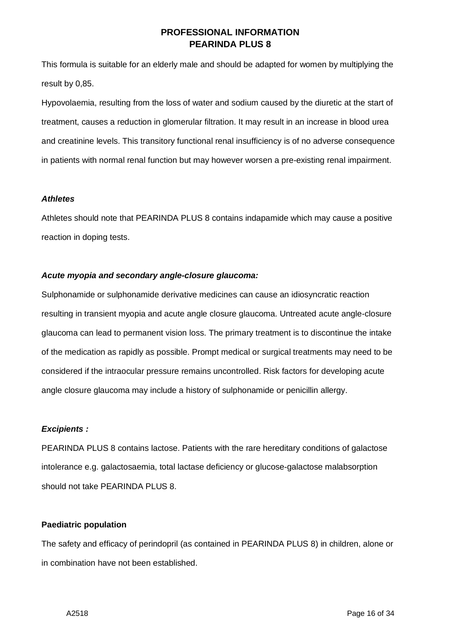This formula is suitable for an elderly male and should be adapted for women by multiplying the result by 0,85.

Hypovolaemia, resulting from the loss of water and sodium caused by the diuretic at the start of treatment, causes a reduction in glomerular filtration. It may result in an increase in blood urea and creatinine levels. This transitory functional renal insufficiency is of no adverse consequence in patients with normal renal function but may however worsen a pre-existing renal impairment.

### *Athletes*

Athletes should note that PEARINDA PLUS 8 contains indapamide which may cause a positive reaction in doping tests.

#### *Acute myopia and secondary angle-closure glaucoma:*

Sulphonamide or sulphonamide derivative medicines can cause an idiosyncratic reaction resulting in transient myopia and acute angle closure glaucoma. Untreated acute angle-closure glaucoma can lead to permanent vision loss. The primary treatment is to discontinue the intake of the medication as rapidly as possible. Prompt medical or surgical treatments may need to be considered if the intraocular pressure remains uncontrolled. Risk factors for developing acute angle closure glaucoma may include a history of sulphonamide or penicillin allergy.

#### *Excipients :*

PEARINDA PLUS 8 contains lactose. Patients with the rare hereditary conditions of galactose intolerance e.g. galactosaemia, total lactase deficiency or glucose-galactose malabsorption should not take PEARINDA PLUS 8.

#### **Paediatric population**

The safety and efficacy of perindopril (as contained in PEARINDA PLUS 8) in children, alone or in combination have not been established.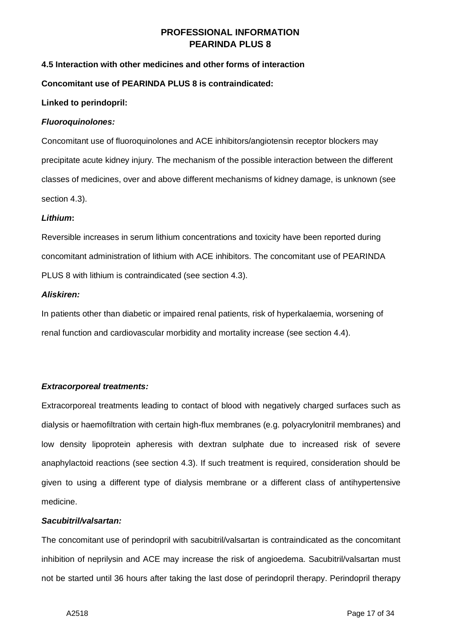### **4.5 Interaction with other medicines and other forms of interaction**

#### **Concomitant use of PEARINDA PLUS 8 is contraindicated:**

#### **Linked to perindopril:**

#### *Fluoroquinolones:*

Concomitant use of fluoroquinolones and ACE inhibitors/angiotensin receptor blockers may precipitate acute kidney injury. The mechanism of the possible interaction between the different classes of medicines, over and above different mechanisms of kidney damage, is unknown (see section 4.3).

#### *Lithium***:**

Reversible increases in serum lithium concentrations and toxicity have been reported during concomitant administration of lithium with ACE inhibitors. The concomitant use of PEARINDA PLUS 8 with lithium is contraindicated (see section 4.3).

### *Aliskiren:*

In patients other than diabetic or impaired renal patients, risk of hyperkalaemia, worsening of renal function and cardiovascular morbidity and mortality increase (see section 4.4).

### *Extracorporeal treatments:*

Extracorporeal treatments leading to contact of blood with negatively charged surfaces such as dialysis or haemofiltration with certain high-flux membranes (e.g. polyacrylonitril membranes) and low density lipoprotein apheresis with dextran sulphate due to increased risk of severe anaphylactoid reactions (see section 4.3). If such treatment is required, consideration should be given to using a different type of dialysis membrane or a different class of antihypertensive medicine.

#### *Sacubitril/valsartan:*

The concomitant use of perindopril with sacubitril/valsartan is contraindicated as the concomitant inhibition of neprilysin and ACE may increase the risk of angioedema. Sacubitril/valsartan must not be started until 36 hours after taking the last dose of perindopril therapy. Perindopril therapy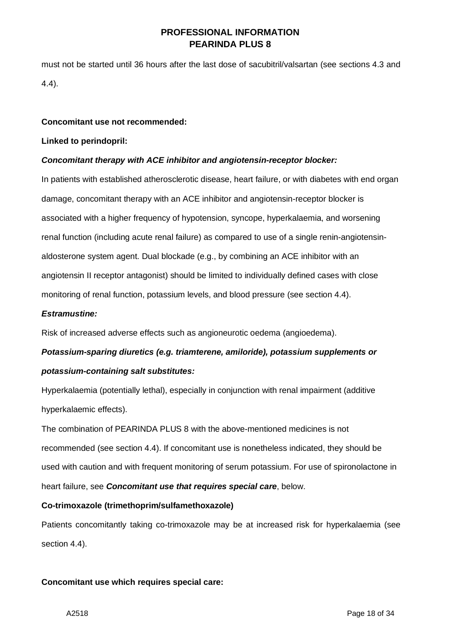must not be started until 36 hours after the last dose of sacubitril/valsartan (see sections 4.3 and 4.4).

#### **Concomitant use not recommended:**

#### **Linked to perindopril:**

#### *Concomitant therapy with ACE inhibitor and angiotensin-receptor blocker:*

In patients with established atherosclerotic disease, heart failure, or with diabetes with end organ damage, concomitant therapy with an ACE inhibitor and angiotensin-receptor blocker is associated with a higher frequency of hypotension, syncope, hyperkalaemia, and worsening renal function (including acute renal failure) as compared to use of a single renin-angiotensinaldosterone system agent. Dual blockade (e.g., by combining an ACE inhibitor with an angiotensin II receptor antagonist) should be limited to individually defined cases with close monitoring of renal function, potassium levels, and blood pressure (see section 4.4).

#### *Estramustine:*

Risk of increased adverse effects such as angioneurotic oedema (angioedema).

# *Potassium-sparing diuretics (e.g. triamterene, amiloride), potassium supplements or potassium-containing salt substitutes:*

Hyperkalaemia (potentially lethal), especially in conjunction with renal impairment (additive hyperkalaemic effects).

The combination of PEARINDA PLUS 8 with the above-mentioned medicines is not recommended (see section 4.4). If concomitant use is nonetheless indicated, they should be used with caution and with frequent monitoring of serum potassium. For use of spironolactone in heart failure, see *Concomitant use that requires special care*, below.

### **Co-trimoxazole (trimethoprim/sulfamethoxazole)**

Patients concomitantly taking co-trimoxazole may be at increased risk for hyperkalaemia (see section 4.4).

### **Concomitant use which requires special care:**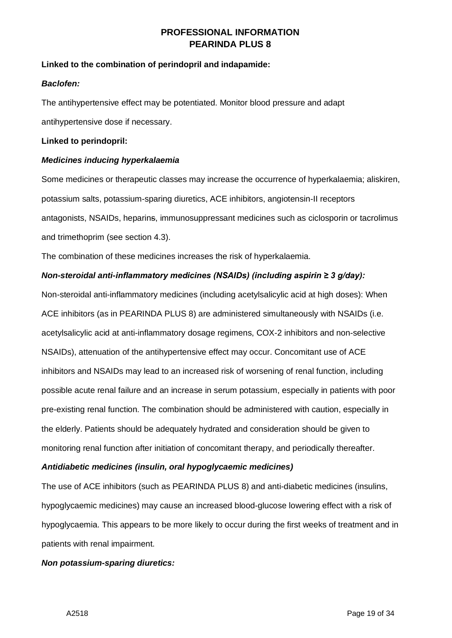### **Linked to the combination of perindopril and indapamide:**

### *Baclofen:*

The antihypertensive effect may be potentiated. Monitor blood pressure and adapt antihypertensive dose if necessary.

### **Linked to perindopril:**

### *Medicines inducing hyperkalaemia*

Some medicines or therapeutic classes may increase the occurrence of hyperkalaemia; aliskiren, potassium salts, potassium-sparing diuretics, ACE inhibitors, angiotensin-II receptors antagonists, NSAIDs, heparins, immunosuppressant medicines such as ciclosporin or tacrolimus and trimethoprim (see section 4.3).

The combination of these medicines increases the risk of hyperkalaemia.

### *Non-steroidal anti-inflammatory medicines (NSAIDs) (including aspirin ≥ 3 g/day):*

Non-steroidal anti-inflammatory medicines (including acetylsalicylic acid at high doses): When ACE inhibitors (as in PEARINDA PLUS 8) are administered simultaneously with NSAIDs (i.e. acetylsalicylic acid at anti-inflammatory dosage regimens, COX-2 inhibitors and non-selective NSAIDs), attenuation of the antihypertensive effect may occur. Concomitant use of ACE inhibitors and NSAIDs may lead to an increased risk of worsening of renal function, including possible acute renal failure and an increase in serum potassium, especially in patients with poor pre-existing renal function. The combination should be administered with caution, especially in the elderly. Patients should be adequately hydrated and consideration should be given to monitoring renal function after initiation of concomitant therapy, and periodically thereafter.

### *Antidiabetic medicines (insulin, oral hypoglycaemic medicines)*

The use of ACE inhibitors (such as PEARINDA PLUS 8) and anti-diabetic medicines (insulins, hypoglycaemic medicines) may cause an increased blood-glucose lowering effect with a risk of hypoglycaemia. This appears to be more likely to occur during the first weeks of treatment and in patients with renal impairment.

### *Non potassium-sparing diuretics:*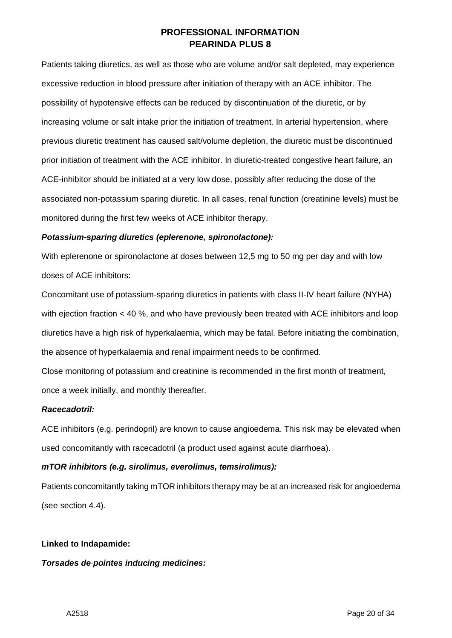Patients taking diuretics, as well as those who are volume and/or salt depleted, may experience excessive reduction in blood pressure after initiation of therapy with an ACE inhibitor. The possibility of hypotensive effects can be reduced by discontinuation of the diuretic, or by increasing volume or salt intake prior the initiation of treatment. In arterial hypertension, where previous diuretic treatment has caused salt/volume depletion, the diuretic must be discontinued prior initiation of treatment with the ACE inhibitor. In diuretic-treated congestive heart failure, an ACE-inhibitor should be initiated at a very low dose, possibly after reducing the dose of the associated non-potassium sparing diuretic. In all cases, renal function (creatinine levels) must be monitored during the first few weeks of ACE inhibitor therapy.

### *Potassium-sparing diuretics (eplerenone, spironolactone):*

With eplerenone or spironolactone at doses between 12,5 mg to 50 mg per day and with low doses of ACE inhibitors:

Concomitant use of potassium-sparing diuretics in patients with class II-IV heart failure (NYHA) with ejection fraction < 40 %, and who have previously been treated with ACE inhibitors and loop diuretics have a high risk of hyperkalaemia, which may be fatal. Before initiating the combination, the absence of hyperkalaemia and renal impairment needs to be confirmed.

Close monitoring of potassium and creatinine is recommended in the first month of treatment, once a week initially, and monthly thereafter.

### *Racecadotril:*

ACE inhibitors (e.g. perindopril) are known to cause angioedema. This risk may be elevated when used concomitantly with racecadotril (a product used against acute diarrhoea).

# *mTOR inhibitors (e.g. sirolimus, everolimus, temsirolimus):*

Patients concomitantly taking mTOR inhibitors therapy may be at an increased risk for angioedema (see section 4.4).

### **Linked to Indapamide:**

### *Torsades de pointes inducing medicines:*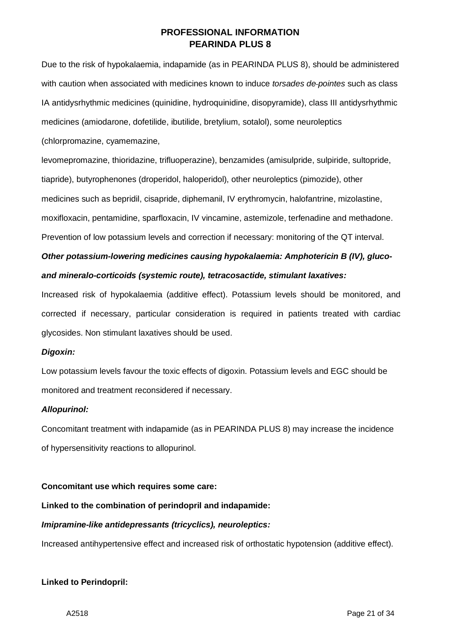Due to the risk of hypokalaemia, indapamide (as in PEARINDA PLUS 8), should be administered with caution when associated with medicines known to induce *torsades de pointes* such as class IA antidysrhythmic medicines (quinidine, hydroquinidine, disopyramide), class III antidysrhythmic medicines (amiodarone, dofetilide, ibutilide, bretylium, sotalol), some neuroleptics

(chlorpromazine, cyamemazine,

levomepromazine, thioridazine, trifluoperazine), benzamides (amisulpride, sulpiride, sultopride, tiapride), butyrophenones (droperidol, haloperidol), other neuroleptics (pimozide), other medicines such as bepridil, cisapride, diphemanil, IV erythromycin, halofantrine, mizolastine, moxifloxacin, pentamidine, sparfloxacin, IV vincamine, astemizole, terfenadine and methadone. Prevention of low potassium levels and correction if necessary: monitoring of the QT interval.

# *Other potassium-lowering medicines causing hypokalaemia: Amphotericin B (IV), glucoand mineralo-corticoids (systemic route), tetracosactide, stimulant laxatives:*

Increased risk of hypokalaemia (additive effect). Potassium levels should be monitored, and corrected if necessary, particular consideration is required in patients treated with cardiac glycosides. Non stimulant laxatives should be used.

# *Digoxin:*

Low potassium levels favour the toxic effects of digoxin. Potassium levels and EGC should be monitored and treatment reconsidered if necessary.

### *Allopurinol:*

Concomitant treatment with indapamide (as in PEARINDA PLUS 8) may increase the incidence of hypersensitivity reactions to allopurinol.

### **Concomitant use which requires some care:**

# **Linked to the combination of perindopril and indapamide:**

# *Imipramine-like antidepressants (tricyclics), neuroleptics:*

Increased antihypertensive effect and increased risk of orthostatic hypotension (additive effect).

# **Linked to Perindopril:**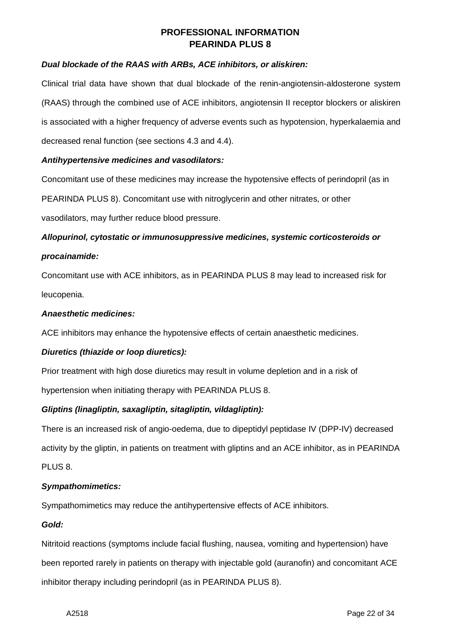### *Dual blockade of the RAAS with ARBs, ACE inhibitors, or aliskiren:*

Clinical trial data have shown that dual blockade of the renin-angiotensin-aldosterone system (RAAS) through the combined use of ACE inhibitors, angiotensin II receptor blockers or aliskiren is associated with a higher frequency of adverse events such as hypotension, hyperkalaemia and decreased renal function (see sections 4.3 and 4.4).

### *Antihypertensive medicines and vasodilators:*

Concomitant use of these medicines may increase the hypotensive effects of perindopril (as in PEARINDA PLUS 8). Concomitant use with nitroglycerin and other nitrates, or other vasodilators, may further reduce blood pressure.

# *Allopurinol, cytostatic or immunosuppressive medicines, systemic corticosteroids or procainamide:*

Concomitant use with ACE inhibitors, as in PEARINDA PLUS 8 may lead to increased risk for leucopenia.

### *Anaesthetic medicines:*

ACE inhibitors may enhance the hypotensive effects of certain anaesthetic medicines.

### *Diuretics (thiazide or loop diuretics):*

Prior treatment with high dose diuretics may result in volume depletion and in a risk of hypertension when initiating therapy with PEARINDA PLUS 8.

# *Gliptins (linagliptin, saxagliptin, sitagliptin, vildagliptin):*

There is an increased risk of angio-oedema, due to dipeptidyl peptidase IV (DPP-IV) decreased activity by the gliptin, in patients on treatment with gliptins and an ACE inhibitor, as in PEARINDA PLUS 8.

### *Sympathomimetics:*

Sympathomimetics may reduce the antihypertensive effects of ACE inhibitors.

### *Gold:*

Nitritoid reactions (symptoms include facial flushing, nausea, vomiting and hypertension) have been reported rarely in patients on therapy with injectable gold (auranofin) and concomitant ACE inhibitor therapy including perindopril (as in PEARINDA PLUS 8).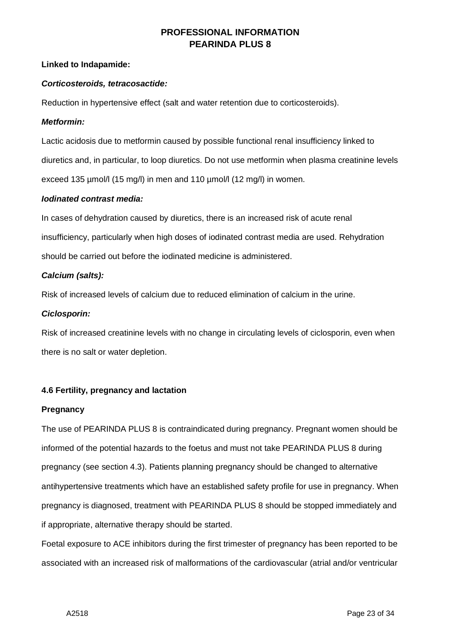### **Linked to Indapamide:**

### *Corticosteroids, tetracosactide:*

Reduction in hypertensive effect (salt and water retention due to corticosteroids).

### *Metformin:*

Lactic acidosis due to metformin caused by possible functional renal insufficiency linked to diuretics and, in particular, to loop diuretics. Do not use metformin when plasma creatinine levels exceed 135 µmol/l (15 mg/l) in men and 110 µmol/l (12 mg/l) in women.

### *Iodinated contrast media:*

In cases of dehydration caused by diuretics, there is an increased risk of acute renal insufficiency, particularly when high doses of iodinated contrast media are used. Rehydration should be carried out before the iodinated medicine is administered.

### *Calcium (salts):*

Risk of increased levels of calcium due to reduced elimination of calcium in the urine.

### *Ciclosporin:*

Risk of increased creatinine levels with no change in circulating levels of ciclosporin, even when there is no salt or water depletion.

### **4.6 Fertility, pregnancy and lactation**

### **Pregnancy**

The use of PEARINDA PLUS 8 is contraindicated during pregnancy. Pregnant women should be informed of the potential hazards to the foetus and must not take PEARINDA PLUS 8 during pregnancy (see section 4.3). Patients planning pregnancy should be changed to alternative antihypertensive treatments which have an established safety profile for use in pregnancy. When pregnancy is diagnosed, treatment with PEARINDA PLUS 8 should be stopped immediately and if appropriate, alternative therapy should be started.

Foetal exposure to ACE inhibitors during the first trimester of pregnancy has been reported to be associated with an increased risk of malformations of the cardiovascular (atrial and/or ventricular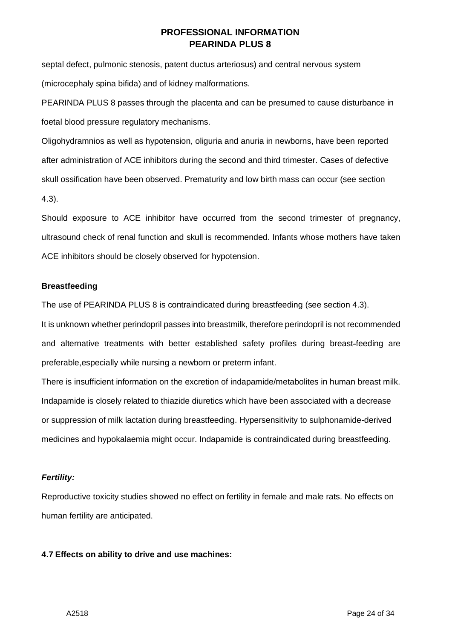septal defect, pulmonic stenosis, patent ductus arteriosus) and central nervous system (microcephaly spina bifida) and of kidney malformations.

PEARINDA PLUS 8 passes through the placenta and can be presumed to cause disturbance in foetal blood pressure regulatory mechanisms.

Oligohydramnios as well as hypotension, oliguria and anuria in newborns, have been reported after administration of ACE inhibitors during the second and third trimester. Cases of defective skull ossification have been observed. Prematurity and low birth mass can occur (see section 4.3).

Should exposure to ACE inhibitor have occurred from the second trimester of pregnancy, ultrasound check of renal function and skull is recommended. Infants whose mothers have taken ACE inhibitors should be closely observed for hypotension.

### **Breastfeeding**

The use of PEARINDA PLUS 8 is contraindicated during breastfeeding (see section 4.3).

It is unknown whether perindopril passes into breastmilk, therefore perindopril is not recommended and alternative treatments with better established safety profiles during breast-feeding are preferable,especially while nursing a newborn or preterm infant.

There is insufficient information on the excretion of indapamide/metabolites in human breast milk. Indapamide is closely related to thiazide diuretics which have been associated with a decrease or suppression of milk lactation during breastfeeding. Hypersensitivity to sulphonamide-derived medicines and hypokalaemia might occur. Indapamide is contraindicated during breastfeeding.

# *Fertility:*

Reproductive toxicity studies showed no effect on fertility in female and male rats. No effects on human fertility are anticipated.

# **4.7 Effects on ability to drive and use machines:**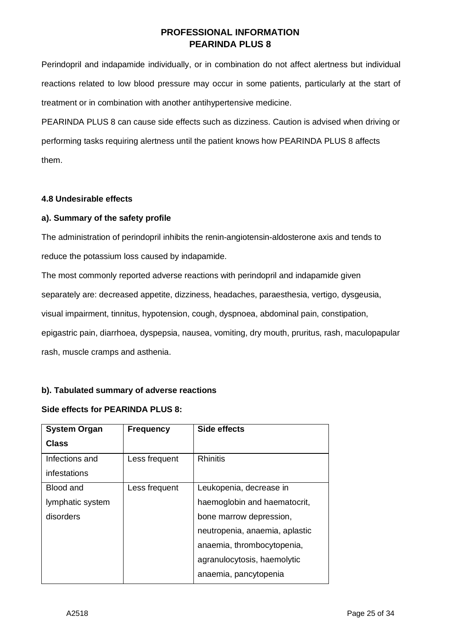Perindopril and indapamide individually, or in combination do not affect alertness but individual reactions related to low blood pressure may occur in some patients, particularly at the start of treatment or in combination with another antihypertensive medicine.

PEARINDA PLUS 8 can cause side effects such as dizziness. Caution is advised when driving or performing tasks requiring alertness until the patient knows how PEARINDA PLUS 8 affects them.

### **4.8 Undesirable effects**

### **a). Summary of the safety profile**

The administration of perindopril inhibits the renin-angiotensin-aldosterone axis and tends to reduce the potassium loss caused by indapamide.

The most commonly reported adverse reactions with perindopril and indapamide given separately are: decreased appetite, dizziness, headaches, paraesthesia, vertigo, dysgeusia, visual impairment, tinnitus, hypotension, cough, dyspnoea, abdominal pain, constipation, epigastric pain, diarrhoea, dyspepsia, nausea, vomiting, dry mouth, pruritus, rash, maculopapular rash, muscle cramps and asthenia.

# **b). Tabulated summary of adverse reactions**

### **Side effects for PEARINDA PLUS 8:**

| <b>System Organ</b> | <b>Frequency</b> | Side effects                   |
|---------------------|------------------|--------------------------------|
| <b>Class</b>        |                  |                                |
| Infections and      | Less frequent    | <b>Rhinitis</b>                |
| infestations        |                  |                                |
| Blood and           | Less frequent    | Leukopenia, decrease in        |
| lymphatic system    |                  | haemoglobin and haematocrit,   |
| disorders           |                  | bone marrow depression,        |
|                     |                  | neutropenia, anaemia, aplastic |
|                     |                  | anaemia, thrombocytopenia,     |
|                     |                  | agranulocytosis, haemolytic    |
|                     |                  | anaemia, pancytopenia          |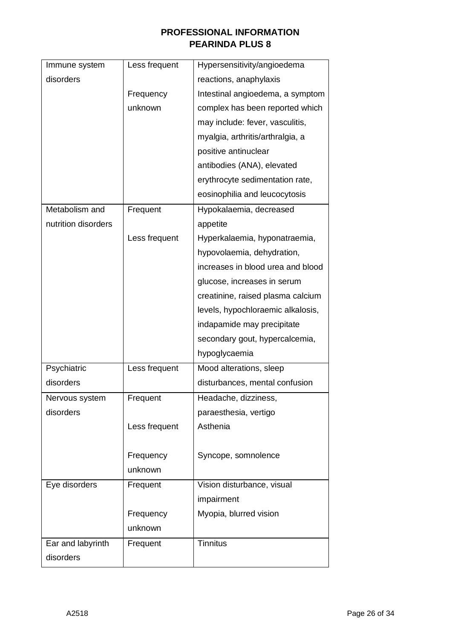| Immune system       | Less frequent | Hypersensitivity/angioedema       |
|---------------------|---------------|-----------------------------------|
| disorders           |               | reactions, anaphylaxis            |
|                     | Frequency     | Intestinal angioedema, a symptom  |
|                     | unknown       | complex has been reported which   |
|                     |               | may include: fever, vasculitis,   |
|                     |               | myalgia, arthritis/arthralgia, a  |
|                     |               | positive antinuclear              |
|                     |               | antibodies (ANA), elevated        |
|                     |               | erythrocyte sedimentation rate,   |
|                     |               | eosinophilia and leucocytosis     |
| Metabolism and      | Frequent      | Hypokalaemia, decreased           |
| nutrition disorders |               | appetite                          |
|                     | Less frequent | Hyperkalaemia, hyponatraemia,     |
|                     |               | hypovolaemia, dehydration,        |
|                     |               | increases in blood urea and blood |
|                     |               | glucose, increases in serum       |
|                     |               | creatinine, raised plasma calcium |
|                     |               | levels, hypochloraemic alkalosis, |
|                     |               | indapamide may precipitate        |
|                     |               | secondary gout, hypercalcemia,    |
|                     |               | hypoglycaemia                     |
| Psychiatric         | Less frequent | Mood alterations, sleep           |
| disorders           |               | disturbances, mental confusion    |
| Nervous system      | Frequent      | Headache, dizziness,              |
| disorders           |               | paraesthesia, vertigo             |
|                     | Less frequent | Asthenia                          |
|                     |               |                                   |
|                     | Frequency     | Syncope, somnolence               |
|                     | unknown       |                                   |
| Eye disorders       | Frequent      | Vision disturbance, visual        |
|                     |               | impairment                        |
|                     | Frequency     | Myopia, blurred vision            |
|                     | unknown       |                                   |
| Ear and labyrinth   | Frequent      | <b>Tinnitus</b>                   |
| disorders           |               |                                   |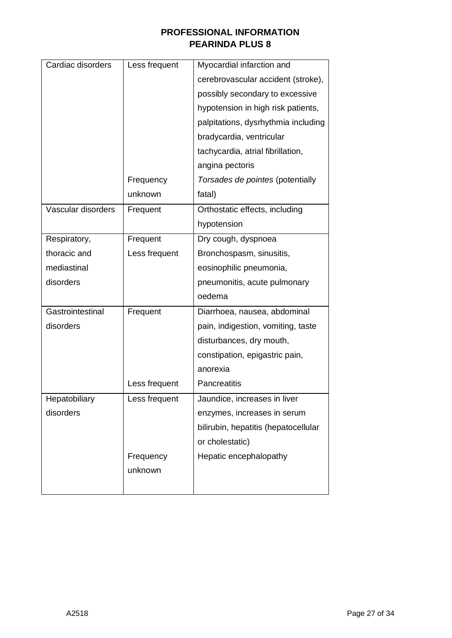| Cardiac disorders  | Less frequent | Myocardial infarction and            |
|--------------------|---------------|--------------------------------------|
|                    |               | cerebrovascular accident (stroke),   |
|                    |               | possibly secondary to excessive      |
|                    |               | hypotension in high risk patients,   |
|                    |               | palpitations, dysrhythmia including  |
|                    |               | bradycardia, ventricular             |
|                    |               | tachycardia, atrial fibrillation,    |
|                    |               | angina pectoris                      |
|                    | Frequency     | Torsades de pointes (potentially     |
|                    | unknown       | fatal)                               |
| Vascular disorders | Frequent      | Orthostatic effects, including       |
|                    |               | hypotension                          |
| Respiratory,       | Frequent      | Dry cough, dyspnoea                  |
| thoracic and       | Less frequent | Bronchospasm, sinusitis,             |
| mediastinal        |               | eosinophilic pneumonia,              |
| disorders          |               | pneumonitis, acute pulmonary         |
|                    |               | oedema                               |
| Gastrointestinal   | Frequent      | Diarrhoea, nausea, abdominal         |
| disorders          |               | pain, indigestion, vomiting, taste   |
|                    |               | disturbances, dry mouth,             |
|                    |               | constipation, epigastric pain,       |
|                    |               | anorexia                             |
|                    | Less frequent | <b>Pancreatitis</b>                  |
| Hepatobiliary      | Less frequent | Jaundice, increases in liver         |
| disorders          |               | enzymes, increases in serum          |
|                    |               | bilirubin, hepatitis (hepatocellular |
|                    |               | or cholestatic)                      |
|                    | Frequency     | Hepatic encephalopathy               |
|                    | unknown       |                                      |
|                    |               |                                      |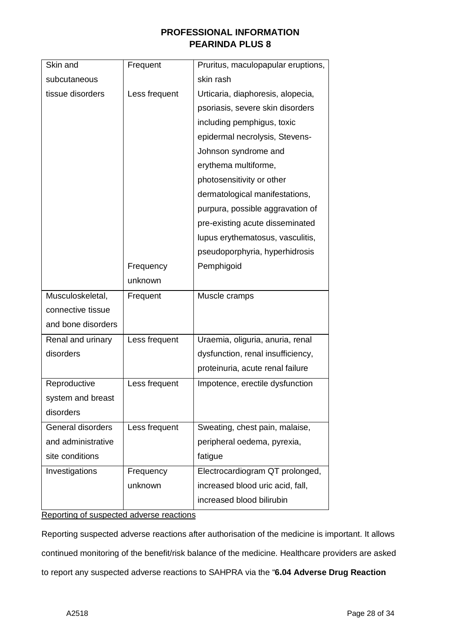| Skin and           | Frequent      | Pruritus, maculopapular eruptions, |
|--------------------|---------------|------------------------------------|
| subcutaneous       |               | skin rash                          |
| tissue disorders   | Less frequent | Urticaria, diaphoresis, alopecia,  |
|                    |               | psoriasis, severe skin disorders   |
|                    |               | including pemphigus, toxic         |
|                    |               | epidermal necrolysis, Stevens-     |
|                    |               | Johnson syndrome and               |
|                    |               | erythema multiforme,               |
|                    |               | photosensitivity or other          |
|                    |               | dermatological manifestations,     |
|                    |               | purpura, possible aggravation of   |
|                    |               | pre-existing acute disseminated    |
|                    |               | lupus erythematosus, vasculitis,   |
|                    |               | pseudoporphyria, hyperhidrosis     |
|                    | Frequency     | Pemphigoid                         |
|                    | unknown       |                                    |
| Musculoskeletal,   | Frequent      | Muscle cramps                      |
| connective tissue  |               |                                    |
| and bone disorders |               |                                    |
| Renal and urinary  | Less frequent | Uraemia, oliguria, anuria, renal   |
| disorders          |               | dysfunction, renal insufficiency,  |
|                    |               | proteinuria, acute renal failure   |
| Reproductive       | Less frequent | Impotence, erectile dysfunction    |
| system and breast  |               |                                    |
| disorders          |               |                                    |
| General disorders  | Less frequent | Sweating, chest pain, malaise,     |
| and administrative |               | peripheral oedema, pyrexia,        |
| site conditions    |               | fatigue                            |
| Investigations     | Frequency     | Electrocardiogram QT prolonged,    |
|                    | unknown       | increased blood uric acid, fall,   |
|                    |               | increased blood bilirubin          |

Reporting of suspected adverse reactions

Reporting suspected adverse reactions after authorisation of the medicine is important. It allows continued monitoring of the benefit/risk balance of the medicine. Healthcare providers are asked to report any suspected adverse reactions to SAHPRA via the "**6.04 Adverse Drug Reaction**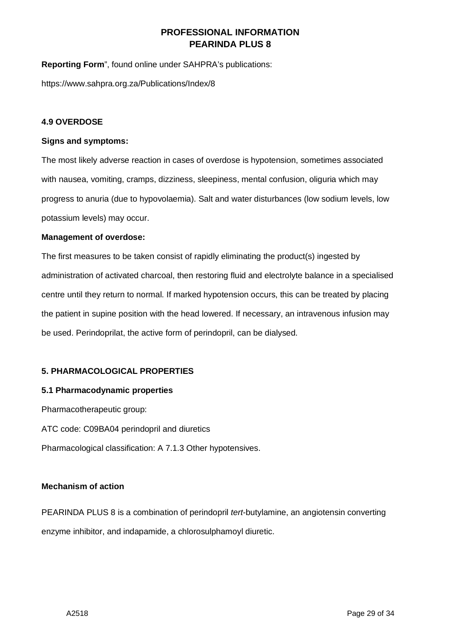**Reporting Form**", found online under SAHPRA's publications:

<https://www.sahpra.org.za/Publications/Index/8>

### **4.9 OVERDOSE**

### **Signs and symptoms:**

The most likely adverse reaction in cases of overdose is hypotension, sometimes associated with nausea, vomiting, cramps, dizziness, sleepiness, mental confusion, oliguria which may progress to anuria (due to hypovolaemia). Salt and water disturbances (low sodium levels, low potassium levels) may occur.

### **Management of overdose:**

The first measures to be taken consist of rapidly eliminating the product(s) ingested by administration of activated charcoal, then restoring fluid and electrolyte balance in a specialised centre until they return to normal. If marked hypotension occurs, this can be treated by placing the patient in supine position with the head lowered. If necessary, an intravenous infusion may be used. Perindoprilat, the active form of perindopril, can be dialysed.

### **5. PHARMACOLOGICAL PROPERTIES**

### **5.1 Pharmacodynamic properties**

Pharmacotherapeutic group: ATC code: C09BA04 perindopril and diuretics Pharmacological classification: A 7.1.3 Other hypotensives.

### **Mechanism of action**

PEARINDA PLUS 8 is a combination of perindopril *tert*-butylamine, an angiotensin converting enzyme inhibitor, and indapamide, a chlorosulphamoyl diuretic.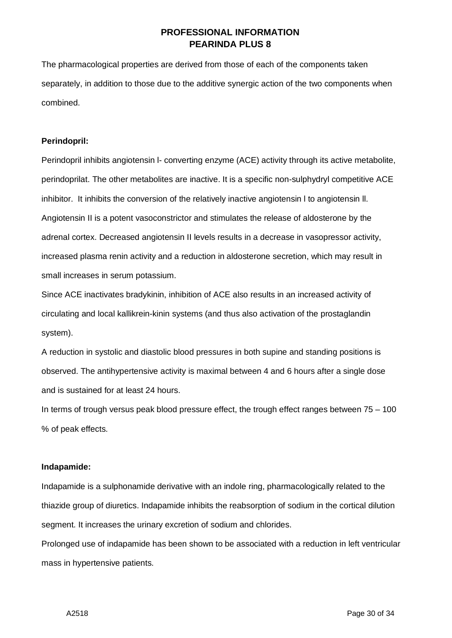The pharmacological properties are derived from those of each of the components taken separately, in addition to those due to the additive synergic action of the two components when combined.

### **Perindopril:**

Perindopril inhibits angiotensin l- converting enzyme (ACE) activity through its active metabolite, perindoprilat. The other metabolites are inactive. It is a specific non-sulphydryl competitive ACE inhibitor. It inhibits the conversion of the relatively inactive angiotensin l to angiotensin ll. Angiotensin II is a potent vasoconstrictor and stimulates the release of aldosterone by the adrenal cortex. Decreased angiotensin II levels results in a decrease in vasopressor activity, increased plasma renin activity and a reduction in aldosterone secretion, which may result in small increases in serum potassium.

Since ACE inactivates bradykinin, inhibition of ACE also results in an increased activity of circulating and local kallikrein-kinin systems (and thus also activation of the prostaglandin system).

A reduction in systolic and diastolic blood pressures in both supine and standing positions is observed. The antihypertensive activity is maximal between 4 and 6 hours after a single dose and is sustained for at least 24 hours.

In terms of trough versus peak blood pressure effect, the trough effect ranges between  $75 - 100$ % of peak effects.

#### **Indapamide:**

Indapamide is a sulphonamide derivative with an indole ring, pharmacologically related to the thiazide group of diuretics. Indapamide inhibits the reabsorption of sodium in the cortical dilution segment. It increases the urinary excretion of sodium and chlorides.

Prolonged use of indapamide has been shown to be associated with a reduction in left ventricular mass in hypertensive patients.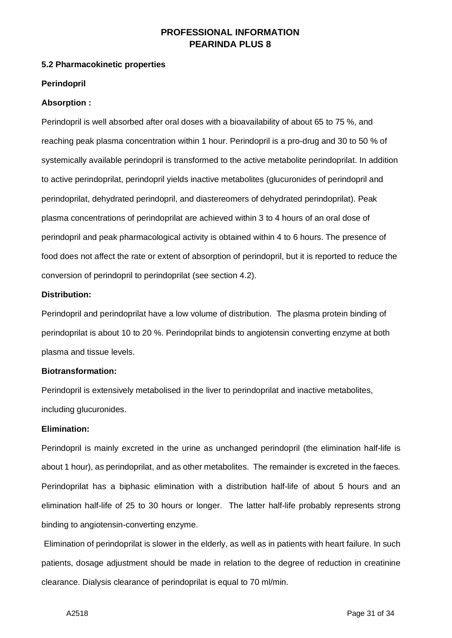### **5.2 Pharmacokinetic properties**

### **Perindopril**

### **Absorption :**

Perindopril is well absorbed after oral doses with a bioavailability of about 65 to 75 %, and reaching peak plasma concentration within 1 hour. Perindopril is a pro-drug and 30 to 50 % of systemically available perindopril is transformed to the active metabolite perindoprilat. In addition to active perindoprilat, perindopril yields inactive metabolites (glucuronides of perindopril and perindoprilat, dehydrated perindopril, and diastereomers of dehydrated perindoprilat). Peak plasma concentrations of perindoprilat are achieved within 3 to 4 hours of an oral dose of perindopril and peak pharmacological activity is obtained within 4 to 6 hours. The presence of food does not affect the rate or extent of absorption of perindopril, but it is reported to reduce the conversion of perindopril to perindoprilat (see section 4.2).

### **Distribution:**

Perindopril and perindoprilat have a low volume of distribution. The plasma protein binding of perindoprilat is about 10 to 20 %. Perindoprilat binds to angiotensin converting enzyme at both plasma and tissue levels.

### **Biotransformation:**

Perindopril is extensively metabolised in the liver to perindoprilat and inactive metabolites, including glucuronides.

### **Elimination:**

Perindopril is mainly excreted in the urine as unchanged perindopril (the elimination half-life is about 1 hour), as perindoprilat, and as other metabolites. The remainder is excreted in the faeces. Perindoprilat has a biphasic elimination with a distribution half-life of about 5 hours and an elimination half-life of 25 to 30 hours or longer. The latter half-life probably represents strong binding to angiotensin-converting enzyme.

Elimination of perindoprilat is slower in the elderly, as well as in patients with heart failure. In such patients, dosage adjustment should be made in relation to the degree of reduction in creatinine clearance. Dialysis clearance of perindoprilat is equal to 70 ml/min.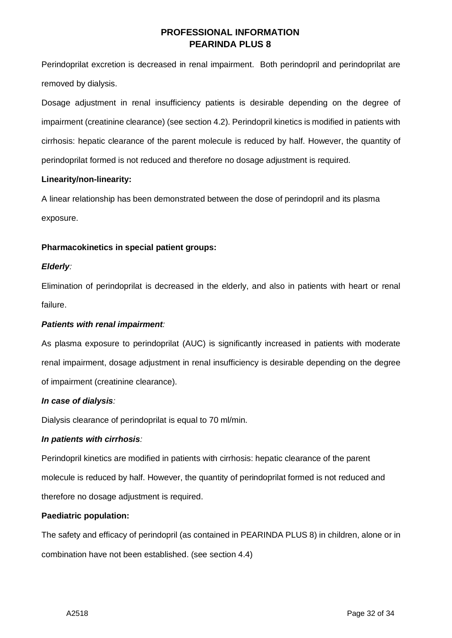Perindoprilat excretion is decreased in renal impairment. Both perindopril and perindoprilat are removed by dialysis.

Dosage adjustment in renal insufficiency patients is desirable depending on the degree of impairment (creatinine clearance) (see section 4.2). Perindopril kinetics is modified in patients with cirrhosis: hepatic clearance of the parent molecule is reduced by half. However, the quantity of perindoprilat formed is not reduced and therefore no dosage adjustment is required.

### **Linearity/non-linearity:**

A linear relationship has been demonstrated between the dose of perindopril and its plasma exposure.

# **Pharmacokinetics in special patient groups:**

# *Elderly:*

Elimination of perindoprilat is decreased in the elderly, and also in patients with heart or renal failure.

# *Patients with renal impairment:*

As plasma exposure to perindoprilat (AUC) is significantly increased in patients with moderate renal impairment, dosage adjustment in renal insufficiency is desirable depending on the degree of impairment (creatinine clearance).

### *In case of dialysis:*

Dialysis clearance of perindoprilat is equal to 70 ml/min.

# *In patients with cirrhosis:*

Perindopril kinetics are modified in patients with cirrhosis: hepatic clearance of the parent molecule is reduced by half. However, the quantity of perindoprilat formed is not reduced and therefore no dosage adjustment is required.

### **Paediatric population:**

The safety and efficacy of perindopril (as contained in PEARINDA PLUS 8) in children, alone or in combination have not been established. (see section 4.4)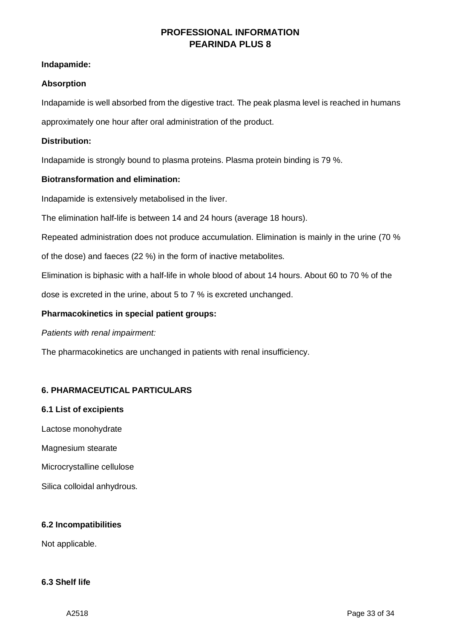### **Indapamide:**

### **Absorption**

Indapamide is well absorbed from the digestive tract. The peak plasma level is reached in humans

approximately one hour after oral administration of the product.

### **Distribution:**

Indapamide is strongly bound to plasma proteins. Plasma protein binding is 79 %.

### **Biotransformation and elimination:**

Indapamide is extensively metabolised in the liver.

The elimination half-life is between 14 and 24 hours (average 18 hours).

Repeated administration does not produce accumulation. Elimination is mainly in the urine (70 %

of the dose) and faeces (22 %) in the form of inactive metabolites.

Elimination is biphasic with a half-life in whole blood of about 14 hours. About 60 to 70 % of the

dose is excreted in the urine, about 5 to 7 % is excreted unchanged.

### **Pharmacokinetics in special patient groups:**

### *Patients with renal impairment:*

The pharmacokinetics are unchanged in patients with renal insufficiency.

# **6. PHARMACEUTICAL PARTICULARS**

### **6.1 List of excipients**

Lactose monohydrate

- Magnesium stearate
- Microcrystalline cellulose
- Silica colloidal anhydrous.

### **6.2 Incompatibilities**

Not applicable.

### **6.3 Shelf life**